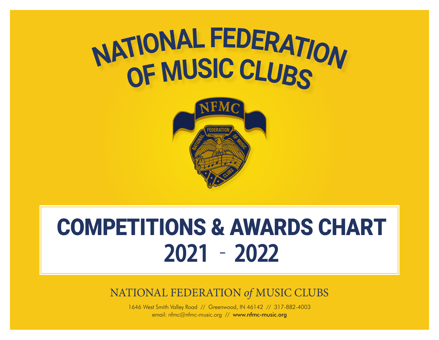



# COMPETITIONS & AWARDS CHART **2021 – 2022**

NATIONAL FEDERATION *of* MUSIC CLUBS

1646 West Smith Valley Road // Greenwood, IN 46142 // 317-882-4003 email: nfmc@nfmc-music.org // www.nfmc-music.org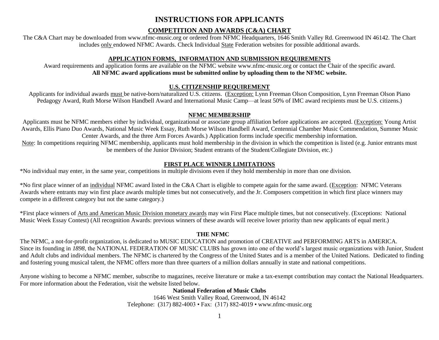# **INSTRUCTIONS FOR APPLICANTS**

# **COMPETITION AND AWARDS (C&A) CHART**

The C&A Chart may be downloaded from www.nfmc-music.org or ordered from NFMC Headquarters, 1646 Smith Valley Rd. Greenwood IN 46142. The Chart includes only endowed NFMC Awards. Check Individual State Federation websites for possible additional awards.

# **APPLICATION FORMS, INFORMATION AND SUBMISSION REQUIREMENTS**

Award requirements and application forms are available on the NFMC website [www.nfmc-music.org](http://www.nfmc-music.org/) or contact the Chair of the specific award. **All NFMC award applications must be submitted online by uploading them to the NFMC website.**

# **U.S. CITIZENSHIP REQUIREMENT**

Applicants for individual awards must be native-born/naturalized U.S. citizens. (Exception: Lynn Freeman Olson Composition, Lynn Freeman Olson Piano Pedagogy Award, Ruth Morse Wilson Handbell Award and International Music Camp—at least 50% of IMC award recipients must be U.S. citizens.)

# **NFMC MEMBERSHIP**

Applicants must be NFMC members either by individual, organizational or associate group affiliation before applications are accepted. (Exception: Young Artist Awards, Ellis Piano Duo Awards, National Music Week Essay, Ruth Morse Wilson Handbell Award, Centennial Chamber Music Commendation, Summer Music Center Awards, and the three Arm Forces Awards.) Application forms include specific membership information.

Note: In competitions requiring NFMC membership, applicants must hold membership in the division in which the competition is listed (e.g. Junior entrants must be members of the Junior Division; Student entrants of the Student/Collegiate Division, etc.)

# **FIRST PLACE WINNER LIMITATIONS**

\*No individual may enter, in the same year, competitions in multiple divisions even if they hold membership in more than one division.

\*No first place winner of an individual NFMC award listed in the C&A Chart is eligible to compete again for the same award. (Exception: NFMC Veterans Awards where entrants may win first place awards multiple times but not consecutively, and the Jr. Composers competition in which first place winners may compete in a different category but not the same category.)

\*First place winners of Arts and American Music Division monetary awards may win First Place multiple times, but not consecutively. (Exceptions: National Music Week Essay Contest) (All recognition Awards: previous winners of these awards will receive lower priority than new applicants of equal merit.)

# **THE NFMC**

The NFMC, a not-for-profit organization, is dedicated to MUSIC EDUCATION and promotion of CREATIVE and PERFORMING ARTS in AMERICA. Since its founding in *1898*, the NATIONAL FEDERATION OF MUSIC CLUBS has grown into one of the world's largest music organizations with Junior, Student and Adult clubs and individual members. The NFMC is chartered by the Congress of the United States and is a member of the United Nations. Dedicated to finding and fostering young musical talent, the NFMC offers more than three quarters of a million dollars annually in state and national competitions.

Anyone wishing to become a NFMC member, subscribe to magazines, receive literature or make a tax-exempt contribution may contact the National Headquarters. For more information about the Federation, visit the website listed below.

# **National Federation of Music Clubs**

1646 West Smith Valley Road, Greenwood, IN 46142 Telephone: (317) 882-4003 • Fax: (317) 882-4019 • www.nfmc-music.org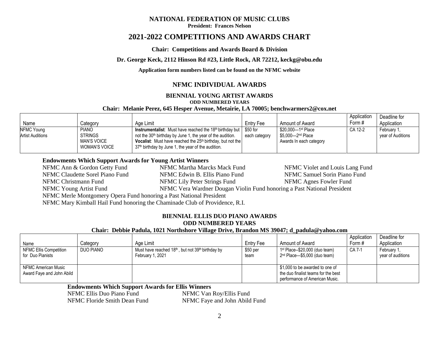#### **NATIONAL FEDERATION OF MUSIC CLUBS**

**President: Frances Nelson**

# **2021-2022 COMPETITIONS AND AWARDS CHART**

#### **Chair: Competitions and Awards Board & Division**

#### **Dr. George Keck, 2112 Hinson Rd #23, Little Rock, AR 72212, keckg@obu.edu**

**Application form numbers listed can be found on the NFMC website**

# **NFMC INDIVIDUAL AWARDS**

### **BIENNIAL YOUNG ARTIST AWARDS**

#### **ODD NUMBERED YEARS**

#### **Chair: Melanie Perez, 645 Hesper Avenue, Metairie, LA 70005; benchwarmers2@cox.net**

|                         |                      |                                                                                 |               |                               | Application | Deadline for      |
|-------------------------|----------------------|---------------------------------------------------------------------------------|---------------|-------------------------------|-------------|-------------------|
| Name                    | Category             | Age Limit                                                                       | Entry Fee     | Amount of Award               | Form #      | Application       |
| NFMC Young              | <b>PIANO</b>         | Instrumentalist: Must have reached the 18 <sup>th</sup> birthday but   \$50 for |               | \$20,000—1st Place            | CA 12-2     | February 1,       |
| <b>Artist Auditions</b> | <b>STRINGS</b>       | not the 30 <sup>th</sup> birthday by June 1, the year of the audition.          | each category | \$5.000—2 <sup>nd</sup> Place |             | vear of Auditions |
|                         | <b>MAN'S VOICE</b>   | <b>Vocalist:</b> Must have reached the $25th$ birthday, but not the             |               | Awards In each category       |             |                   |
|                         | <b>WOMAN'S VOICE</b> | 37 <sup>th</sup> birthday by June 1, the year of the audition.                  |               |                               |             |                   |

#### **Endowments Which Support Awards for Young Artist Winners**

NFMC Ann & Gordon Getty Fund NFMC Martha Marcks Mack Fund NFMC Violet and Louis Lang Fund NFMC Claudette Sorel Piano Fund NFMC Edwin B. Ellis Piano Fund NFMC Samuel Sorin Piano Fund NFMC Christmann Fund NFMC Lily Peter Strings Fund NFMC Agnes Fowler Fund NFMC Young Artist Fund NFMC Vera Wardner Dougan Violin Fund honoring a Past National President NFMC Merle Montgomery Opera Fund honoring a Past National President NFMC Mary Kimball Hail Fund honoring the Chaminade Club of Providence, R.I.

#### **BIENNIAL ELLIS DUO PIANO AWARDS ODD NUMBERED YEARS**

### **Chair: Debbie Padula, 1021 Northshore Village Drive, Brandon MS 39047; d\_padula@yahoo.com**

|                                                  |           |                                                                                               |                   |                                                                                                          | Application | Deadline for                     |
|--------------------------------------------------|-----------|-----------------------------------------------------------------------------------------------|-------------------|----------------------------------------------------------------------------------------------------------|-------------|----------------------------------|
| Name                                             | Category  | Age Limit                                                                                     | Entry Fee         | Amount of Award                                                                                          | Form #      | Application                      |
| NFMC Ellis Competition<br>for Duo Pianists       | DUO PIANO | Must have reached 18 <sup>th</sup> , but not 39 <sup>th</sup> birthday by<br>February 1, 2021 | $$50$ per<br>team | 1 <sup>st</sup> Place--\$20,000 (duo team)<br>$2nd$ Place- $$5,000$ (duo team)                           | CA 7-1      | February 1.<br>vear of auditions |
| NFMC American Music<br>Award Faye and John Abild |           |                                                                                               |                   | \$1,000 to be awarded to one of<br>the duo finalist teams for the best<br>performance of American Music. |             |                                  |

### **Endowments Which Support Awards for Ellis Winners**

NFMC Floride Smith Dean Fund NFMC Faye and John Abild Fund

NFMC Ellis Duo Piano Fund NFMC Van Roy/Ellis Fund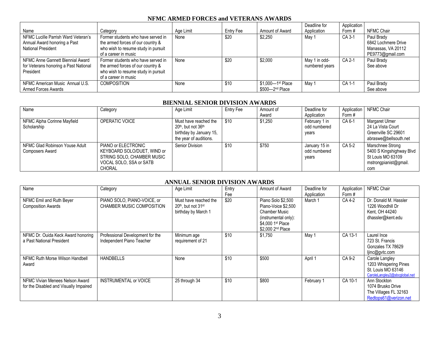# **NFMC ARMED FORCES and VETERANS AWARDS**

|                                       |                                     |           |           |                             | Deadline for   | Application |                     |
|---------------------------------------|-------------------------------------|-----------|-----------|-----------------------------|----------------|-------------|---------------------|
| Name                                  | Category                            | Age Limit | Entry Fee | Amount of Award             | Application    | Form#       | NFMC Chair          |
| NFMC Lucille Parrish Ward Veteran's   | Former students who have served in  | None      | \$20      | \$2,250                     | May 1          | CA 3-1      | Paul Brady          |
| Annual Award honoring a Past          | the armed forces of our country &   |           |           |                             |                |             | 6842 Lochmere Drive |
| <b>National President</b>             | who wish to resume study in pursuit |           |           |                             |                |             | Manassas, VA 20112  |
|                                       | of a career in music                |           |           |                             |                |             | PE9773@gmail.com    |
| NFMC Anne Gannett Biennial Award      | Former students who have served in  | None      | \$20      | \$2,000                     | May 1 in odd-  | CA 2-1      | Paul Brady          |
| for Veterans honoring a Past National | the armed forces of our country &   |           |           |                             | numbered years |             | See above           |
| President                             | who wish to resume study in pursuit |           |           |                             |                |             |                     |
|                                       | of a career in music                |           |           |                             |                |             |                     |
| NFMC American Music Annual U.S.       | COMPOSITION                         | None      | \$10      | \$1,000-1st Place           | May 1          | CA 1-1      | Paul Brady          |
| Armed Forces Awards                   |                                     |           |           | \$500-2 <sup>nd</sup> Place |                |             | See above           |

### **BIENNIAL SENIOR DIVISION AWARDS**

| Name                                                     | Category                                                                                                                     | Age Limit                                                                                                                 | Entry Fee | Amount of<br>Award | Deadline for<br>Application            | Application<br>Form # | NFMC Chair                                                                                        |
|----------------------------------------------------------|------------------------------------------------------------------------------------------------------------------------------|---------------------------------------------------------------------------------------------------------------------------|-----------|--------------------|----------------------------------------|-----------------------|---------------------------------------------------------------------------------------------------|
| NFMC Alpha Corinne Mayfield<br>Scholarship               | OPERATIC VOICE                                                                                                               | Must have reached the<br>20 <sup>th</sup> , but not 36 <sup>th</sup><br>birthday by January 15,<br>the year of auditions. | \$10      | \$1.250            | February 1 in<br>odd numbered<br>years | CA 6-1                | Margaret Ulmer<br>24 La Vista Court<br>Greenville SC 29601<br>abraswe@bellsouth.net               |
| NFMC Glad Robinson Youse Adult<br><b>Composers Award</b> | PIANO or ELECTRONIC<br>KEYBOARD SOLO/DUET, WIND or<br>STRING SOLO, CHAMBER MUSIC<br>VOCAL SOLO, SSA or SATB<br><b>CHORAL</b> | Senior Division                                                                                                           | \$10      | \$750              | January 15 in<br>odd numbered<br>vears | CA 5-2                | Marschnee Strong<br>5400 S Kingshighway Blvd<br>St Louis MO 63109<br>mstrongpianist@gmail.<br>com |

# **ANNUAL SENIOR DIVISION AWARDS**

| Name                                                                      | Category                                                      | Age Limit                                                               | Entry<br>Fee | Amount of Award                                                                                                                                 | Deadline for<br>Application | Application<br>Form # | NFMC Chair                                                                                    |
|---------------------------------------------------------------------------|---------------------------------------------------------------|-------------------------------------------------------------------------|--------------|-------------------------------------------------------------------------------------------------------------------------------------------------|-----------------------------|-----------------------|-----------------------------------------------------------------------------------------------|
| NFMC Emil and Ruth Beyer<br><b>Composition Awards</b>                     | PIANO SOLO, PIANO-VOICE, or<br>CHAMBER MUSIC COMPOSITION      | Must have reached the<br>$20th$ , but not $31st$<br>birthday by March 1 | \$20         | Piano Solo \$2,500<br>Piano-Voice \$2,500<br><b>Chamber Music</b><br>(instrumental only):<br>\$4,000 1st Place<br>\$2,000 2 <sup>nd</sup> Place | March 1                     | CA 4-2                | Dr. Donald M. Hassler<br>1226 Woodhill Dr<br>Kent, OH 44240<br>dhassler@kent.edu              |
| NFMC Dr. Ouida Keck Award honoring<br>a Past National President           | Professional Development for the<br>Independent Piano Teacher | Minimum age<br>requirement of 21                                        | \$10         | \$1,750                                                                                                                                         | May 1                       | CA 13-1               | Laurel Ince<br>723 St. Francis<br>Gonzales TX 78629<br>ljinc@gvtc.com                         |
| NFMC Ruth Morse Wilson Handbell<br>Award                                  | <b>HANDBELLS</b>                                              | None                                                                    | \$10         | \$500                                                                                                                                           | April 1                     | CA 9-2                | Carole Langley<br>1203 Whispering Pines<br>St. Louis MO 63146<br>CaroleLangley2@sbcglobal.net |
| NFMC Vivian Menees Nelson Award<br>for the Disabled and Visually Impaired | <b>INSTRUMENTAL or VOICE</b>                                  | 25 through 34                                                           | \$10         | \$800                                                                                                                                           | February 1                  | CA 10-1               | Ann Stockton<br>1074 Brusko Drive<br>The Villages FL 32163<br>Redtops61@verizon.net           |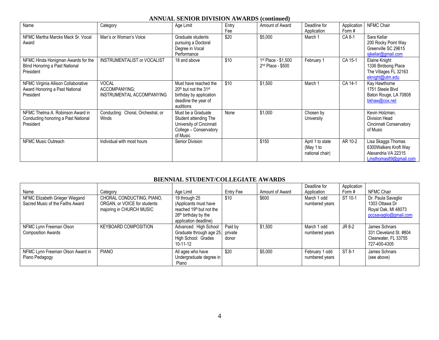## **ANNUAL SENIOR DIVISION AWARDS (continued)**

| Name                                                                                 | Category                                                   | Age Limit                                                                                                                              | Entry<br>Fee | Amount of Award                            | Deadline for<br>Application                      | Application<br>Form # | NFMC Chair                                                                                  |
|--------------------------------------------------------------------------------------|------------------------------------------------------------|----------------------------------------------------------------------------------------------------------------------------------------|--------------|--------------------------------------------|--------------------------------------------------|-----------------------|---------------------------------------------------------------------------------------------|
| NFMC Martha Marcks Mack Sr. Vocal<br>Award                                           | Man's or Woman's Voice                                     | Graduate students<br>pursuing a Doctoral<br>Degree in Vocal<br>Performance                                                             | \$20         | \$5,000                                    | March 1                                          | CA 8-1                | Sara Kellar<br>200 Rocky Point Way<br>Greenville SC 29615<br>sikellar@gmail.com             |
| NFMC Hinda Honigman Awards for the<br>Blind Honoring a Past National<br>President    | <b>INSTRUMENTALIST or VOCALIST</b>                         | 18 and above                                                                                                                           | \$10         | 1st Place - \$1,500<br>$2nd$ Place - \$500 | February 1                                       | CA 15-1               | Elaine Knight<br>1336 Birdsong Place<br>The Villages FL 32163<br>eknight@utm.edu            |
| NFMC Virginia Allison Collaborative<br>Award Honoring a Past National<br>President   | <b>VOCAL</b><br>ACCOMPANYING:<br>INSTRUMENTAL ACCOMPANYING | Must have reached the<br>20 <sup>th</sup> but not the 31 <sup>st</sup><br>birthday by application<br>deadline the year of<br>auditions | \$10         | \$1,500                                    | March 1                                          | CA 14-1               | Kay Hawthorne<br>1751 Steele Blvd<br>Baton Rouge, LA 70808<br>bkhaw@cox.net                 |
| NFMC Thelma A. Robinson Award in<br>Conducting honoring a Past National<br>President | Conducting: Choral, Orchestral, or<br>Winds                | Must be a Graduate<br>Student attending The<br>University of Cincinnati<br>College - Conservatory<br>of Music                          | None         | \$1,000                                    | Chosen by<br>University                          |                       | Kevin Holzman,<br><b>Division Head</b><br>Cincinnati Conservatory<br>of Music               |
| NFMC Music Outreach                                                                  | Individual with most hours                                 | Senior Division                                                                                                                        |              | \$150                                      | April 1 to state<br>(May 1 to<br>national chair) | AR 10-2               | Lisa Skaggs Thomas<br>6300Walkers Kroft Way<br>Alexandria VA 22315<br>Lmsthomas89@gmail.com |

## **BIENNIAL STUDENT/COLLEGIATE AWARDS**

| Name                                                               | Category                                                                              | Age Limit                                                                                                                         | Entry Fee                   | Amount of Award | Deadline for<br>Application      | Application<br>Form # | NFMC Chair                                                                           |
|--------------------------------------------------------------------|---------------------------------------------------------------------------------------|-----------------------------------------------------------------------------------------------------------------------------------|-----------------------------|-----------------|----------------------------------|-----------------------|--------------------------------------------------------------------------------------|
| NFMC Elizabeth Grieger Wiegand<br>Sacred Music of the Faiths Award | CHORAL CONDUCTING, PIANO,<br>ORGAN, or VOICE for students<br>majoring in CHURCH MUSIC | 19 through 25<br>(Applicants must have<br>reached 19 <sup>th</sup> but not the<br>$26th$ birthday by the<br>application deadline) | \$10                        | \$600           | March 1 odd<br>numbered years    | ST 10-1               | Dr. Paula Savaglio<br>1303 Ottawa Dr<br>Royal Oak, MI 48073<br>pccsavaglio@gmail.com |
| NFMC Lynn Freeman Olson<br><b>Composition Awards</b>               | <b>KEYBOARD COMPOSITION</b>                                                           | Advanced: High School<br>Graduate through age 25.<br>High School: Grades<br>$10 - 11 - 12$                                        | Paid by<br>private<br>donor | \$1,500         | March 1 odd<br>numbered years    | JR 8-2                | James Schnars<br>331 Cleveland St. #804<br>Clearwater, FL 33755<br>727-400-4305      |
| NFMC Lynn Freeman Olson Award in<br>Piano Pedagogy                 | <b>PIANO</b>                                                                          | All ages who have<br>Undergraduate degree in<br>Piano                                                                             | \$20                        | \$5,000         | February 1 odd<br>numbered years | $ST 8-1$              | James Schnars<br>(see above)                                                         |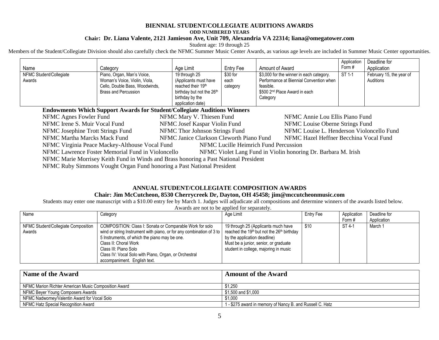#### **BIENNIAL STUDENT/COLLEGIATE AUDITIONS AWARDS ODD NUMBERED YEARS Chair: Dr. Liana Valente, 2121 Jamieson Ave, Unit 709, Alexandria VA 22314; liana@omegatower.com**

Student age: 19 through 25

Members of the Student/Collegiate Division should also carefully check the NFMC Summer Music Center Awards, as various age levels are included in Summer Music Center opportunities.

|                         |                                |                                |           |                                           | Application | Deadline for             |
|-------------------------|--------------------------------|--------------------------------|-----------|-------------------------------------------|-------------|--------------------------|
| Name                    | Category                       | Age Limit                      | Entry Fee | Amount of Award                           | Form #      | Application              |
| NFMC Student/Collegiate | Piano, Organ, Man's Voice,     | 19 through 25                  | $$30$ for | \$3,000 for the winner in each category.  | ST 1-1      | February 15, the year of |
| Awards                  | Woman's Voice, Violin, Viola,  | (Applicants must have          | each      | Performance at Biennial Convention when   |             | Auditions                |
|                         | Cello, Double Bass, Woodwinds, | reached their 19 <sup>th</sup> | category  | feasible.                                 |             |                          |
|                         | <b>Brass and Percussion</b>    | birthday but not the 26th      |           | \$500 2 <sup>nd</sup> Place Award in each |             |                          |
|                         |                                | birthday by the                |           | Category                                  |             |                          |
|                         |                                | application date)              |           |                                           |             |                          |

#### **Endowments Which Support Awards for Student/Collegiate Auditions Winners**

|                                                                                         | NFMC Agnes Fowler Fund                                                               | NFMC Mary V. Thiesen Fund                | NFMC Annie Lou Ellis Piano Fund                               |  |  |
|-----------------------------------------------------------------------------------------|--------------------------------------------------------------------------------------|------------------------------------------|---------------------------------------------------------------|--|--|
|                                                                                         | NFMC Irene S. Muir Vocal Fund                                                        | NFMC Josef Kaspar Violin Fund            | NFMC Louise Oberne Strings Fund                               |  |  |
|                                                                                         | NFMC Josephine Trott Strings Fund                                                    | NFMC Thor Johnson Strings Fund           | NFMC Louise L. Henderson Violoncello Fund                     |  |  |
|                                                                                         | NFMC Martha Marcks Mack Fund                                                         | NFMC Janice Clarkson Cleworth Piano Fund | NFMC Hazel Heffner Becchina Vocal Fund                        |  |  |
| NFMC Virginia Peace Mackey-Althouse Vocal Fund<br>NFMC Lucille Heimrich Fund Percussion |                                                                                      |                                          |                                                               |  |  |
|                                                                                         | NFMC Lawrence Foster Memorial Fund in Violoncello                                    |                                          | NFMC Violet Lang Fund in Violin honoring Dr. Barbara M. Irish |  |  |
|                                                                                         | NFMC Marie Morrisey Keith Fund in Winds and Brass honoring a Past National President |                                          |                                                               |  |  |
|                                                                                         | MEMO Deles Cinemana Variabet Opean Freed Languine a Daot National Ducationt          |                                          |                                                               |  |  |

NFMC Ruby Simmons Vought Organ Fund honoring a Past National President

### **ANNUAL STUDENT/COLLEGIATE COMPOSITION AWARDS**

#### **Chair: Jim McCutcheon, 8530 Cherrycreek Dr, Dayton, OH 45458; jim@mccutcheonmusic.com**

Students may enter one manuscript with a \$10.00 entry fee by March 1. Judges will adjudicate all compositions and determine winners of the awards listed below.

| Name                                          | Category                                                                                                                                                                                                                                                                                                                     | Age Limit                                                                                                                                                                                                                   | Entry Fee | Application<br>Form # | Deadline for<br>Application |
|-----------------------------------------------|------------------------------------------------------------------------------------------------------------------------------------------------------------------------------------------------------------------------------------------------------------------------------------------------------------------------------|-----------------------------------------------------------------------------------------------------------------------------------------------------------------------------------------------------------------------------|-----------|-----------------------|-----------------------------|
| NFMC Student/Collegiate Composition<br>Awards | COMPOSITION: Class I: Sonata or Comparable Work for solo<br>wind or string Instrument with piano, or for any combination of 3 to<br>5 Instruments, of which the piano may be one.<br>Class II: Choral Work<br>Class III: Piano Solo<br>Class IV: Vocal Solo with Piano, Organ, or Orchestral<br>accompaniment. English text. | 19 through 25 (Applicants much have<br>reached the 19 <sup>th</sup> but not the 26 <sup>th</sup> birthday<br>by the application deadline)<br>Must be a junior, senior, or graduate<br>student in college, majoring in music | \$10      | ST 4-1                | March 1                     |

Awards are not to be applied for separately.

| Name of the Award                                    | <b>Amount of the Award</b>                                |
|------------------------------------------------------|-----------------------------------------------------------|
| NFMC Marion Richter American Music Composition Award | \$1.250                                                   |
| NFMC Beyer Young Composers Awards                    | \$1.500 and \$1.000                                       |
| NFMC Nadwornev/Valentin Award for Vocal Solo         | \$1.000                                                   |
| NFMC Hatz Special Recognition Award                  | 1 - \$275 award in memory of Nancy B. and Russell C. Hatz |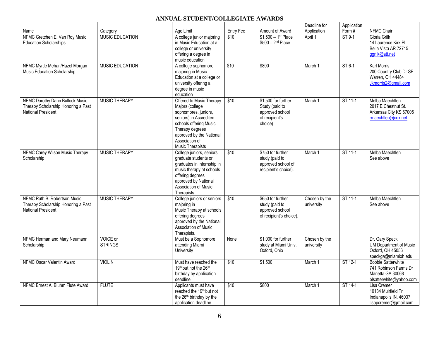# **ANNUAL STUDENT/COLLEGIATE AWARDS**

|                                                                                                     |                            |                                                                                                                                                                                                                     |           |                                                                                       | Deadline for                | Application |                                                                                                    |
|-----------------------------------------------------------------------------------------------------|----------------------------|---------------------------------------------------------------------------------------------------------------------------------------------------------------------------------------------------------------------|-----------|---------------------------------------------------------------------------------------|-----------------------------|-------------|----------------------------------------------------------------------------------------------------|
| Name                                                                                                | Category                   | Age Limit                                                                                                                                                                                                           | Entry Fee | Amount of Award                                                                       | Application                 | Form#       | NFMC Chair                                                                                         |
| NFMC Gretchen E. Van Roy Music<br><b>Education Scholarships</b>                                     | <b>MUSIC EDUCATION</b>     | A college junior majoring<br>in Music Education at a<br>college or university<br>offering a degree in<br>music education                                                                                            | \$10      | $$1,500 - 1$ <sup>st</sup> Place<br>$$500 - 2nd Place$                                | April 1                     | ST 9-1      | Gloria Grilk<br>14 Laurence Kirk Pl<br>Bella Vista AR 72715<br>ggrilk@att.net                      |
| NFMC Myrtle Mehan/Hazel Morgan<br>Music Education Scholarship                                       | <b>MUSIC EDUCATION</b>     | A college sophomore<br>majoring in Music<br>Education at a college or<br>university offering a<br>degree in music<br>education                                                                                      | \$10      | \$800                                                                                 | March 1                     | ST 6-1      | Karl Morris<br>200 Country Club Dr SE<br>Warren, OH 44484<br>Jkmorris2@gmail.com                   |
| <b>NFMC Dorothy Dann Bullock Music</b><br>Therapy Scholarship Honoring a Past<br>National President | <b>MUSIC THERAPY</b>       | Offered to Music Therapy<br>Majors (college<br>sophomores, juniors,<br>seniors) in Accredited<br>schools offering Music<br>Therapy degrees<br>approved by the National<br>Association of<br><b>Music Therapists</b> | \$10      | \$1,500 for further<br>Study (paid to<br>approved school<br>of recipient's<br>choice) | March 1                     | ST 11-1     | Melba Maechtlen<br>2017 E Chestnut St.<br>Arkansas City KS 67005<br>rmaechtlen@cox.net             |
| NFMC Carey Wilson Music Therapy<br>Scholarship                                                      | MUSIC THERAPY              | College juniors, seniors,<br>graduate students or<br>graduates in internship in<br>music therapy at schools<br>offering degrees<br>approved by National<br>Association of Music<br>Therapists                       | \$10      | \$750 for further<br>study (paid to<br>approved school of<br>recipient's choice).     | March 1                     | ST 11-1     | Melba Maechtlen<br>See above                                                                       |
| NFMC Ruth B. Robertson Music<br>Therapy Scholarship Honoring a Past<br>National President           | <b>MUSIC THERAPY</b>       | College juniors or seniors<br>majoring in<br>Music Therapy at schools<br>offering degrees<br>approved by the National<br><b>Association of Music</b><br>Therapists.                                                 | \$10      | \$650 for further<br>study (paid to<br>approved school<br>of recipient's choice).     | Chosen by the<br>university | ST 11-1     | Melba Maechtlen<br>See above                                                                       |
| NFMC Herman and Mary Neumann<br>Scholarship                                                         | VOICE or<br><b>STRINGS</b> | Must be a Sophomore<br>attending Miami<br>University                                                                                                                                                                | None      | \$1,000 for further<br>study at Miami Univ.<br>Oxford, Ohio                           | Chosen by the<br>university |             | Dr. Gary Speck<br>UM Department of Music<br>Oxford, OH 45056<br>speckga@miamioh.edu                |
| NFMC Oscar Valentin Award                                                                           | <b>VIOLIN</b>              | Must have reached the<br>19th but not the 26th<br>birthday by application<br>deadline                                                                                                                               | \$10      | \$1,500                                                                               | March 1                     | ST 12-1     | <b>Bobbie Satterwhite</b><br>741 Robinson Farms Dr<br>Marietta GA 30068<br>blsatterwhite@yahoo.com |
| NFMC Ernest A. Bluhm Flute Award                                                                    | <b>FLUTE</b>               | Applicants must have<br>reached the 19th but not<br>the 26 <sup>th</sup> birthday by the<br>application deadline                                                                                                    | \$10      | \$800                                                                                 | March 1                     | ST 14-1     | Lisa Cremer<br>10134 Muirfield Tr<br>Indianapolis IN. 46037<br>lisapcremer@gmail.com               |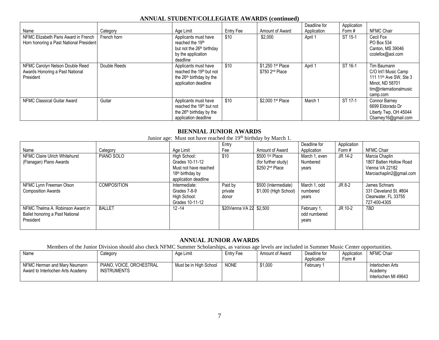| Name                                                                            | Category     | Age Limit                                                                                                                    | Entry Fee | Amount of Award                                  | Deadline for<br>Application | Application<br>Form # | <b>NFMC Chair</b>                                                                                                                  |
|---------------------------------------------------------------------------------|--------------|------------------------------------------------------------------------------------------------------------------------------|-----------|--------------------------------------------------|-----------------------------|-----------------------|------------------------------------------------------------------------------------------------------------------------------------|
| NFMC Elizabeth Paris Award in French<br>Horn honoring a Past National President | French horn  | Applicants must have<br>reached the 19th<br>but not the 26 <sup>th</sup> birthday<br>by the application<br>deadline          | \$10      | \$2,000                                          | April 1                     | ST 15-1               | Cecil Fox<br>PO Box 534<br>Canton, MS 39046<br>ccolefox@aol.com                                                                    |
| NFMC Carolyn Nelson Double Reed<br>Awards Honoring a Past National<br>President | Double Reeds | Applicants must have<br>reached the 19 <sup>th</sup> but not<br>the 26 <sup>th</sup> birthday by the<br>application deadline | \$10      | \$1,250 1st Place<br>\$750 2 <sup>nd</sup> Place | April 1                     | ST 16-1               | Tim Baumann<br>C/O Int'l Music Camp<br>111 11 <sup>th</sup> Ave SW, Ste 3<br>Minot, ND 58701<br>tim@internationalmusic<br>camp.com |
| NFMC Classical Guitar Award                                                     | Guitar       | Applicants must have<br>reached the 19 <sup>th</sup> but not<br>the 26 <sup>th</sup> birthday by the<br>application deadline | \$10      | \$2,000 1st Place                                | March 1                     | ST 17-1               | Connor Barney<br>6699 Eldorado Dr<br>Liberty Twp, OH 45044<br>Cbarney16@gmail.com                                                  |

#### **ANNUAL STUDENT/COLLEGIATE AWARDS (continued)**

#### **BIENNIAL JUNIOR AWARDS**

| Junior age: Must not have reached the 19 <sup>th</sup> birthday by March 1.      |                    |                                                                                                                  |                             |                                                                       |                                      |             |                                                                                          |
|----------------------------------------------------------------------------------|--------------------|------------------------------------------------------------------------------------------------------------------|-----------------------------|-----------------------------------------------------------------------|--------------------------------------|-------------|------------------------------------------------------------------------------------------|
|                                                                                  |                    |                                                                                                                  | Entry                       |                                                                       | Deadline for                         | Application |                                                                                          |
| Name                                                                             | Category           | Age Limit                                                                                                        | Fee                         | Amount of Award                                                       | Application                          | Form #      | <b>NFMC Chair</b>                                                                        |
| NFMC Claire Ulrich Whitehurst<br>(Flanagan) Piano Awards                         | PIANO SOLO         | High School:<br>Grades 10-11-12<br>Must not have reached<br>18 <sup>th</sup> birthday by<br>application deadline | \$10                        | \$500 1st Place<br>(for further study)<br>\$250 2 <sup>nd</sup> Place | March 1, even<br>Numbered<br>years   | JR 14-2     | Marcia Chaplin<br>1807 Batten Hollow Road<br>Vienna VA 22182<br>Marciachaplin2@gmail.com |
| NFMC Lynn Freeman Olson<br><b>Composition Awards</b>                             | <b>COMPOSITION</b> | Intermediate:<br>Grades 7-8-9<br>High School:<br>Grades 10-11-12                                                 | Paid by<br>private<br>donor | \$500 (Intermediate)<br>\$1,000 (High School)                         | March 1, odd<br>numbered<br>years    | JR 8-2      | James Schnars<br>331 Cleveland St. #804<br>Clearwater, FL 33755<br>727-400-4305          |
| NFMC Thelma A. Robinson Award in<br>Ballet honoring a Past National<br>President | <b>BALLET</b>      | $12 - 14$                                                                                                        | \$20Vienna VA 22 \$2,500    |                                                                       | February 1,<br>odd numbered<br>years | JR 10-2     | TBD                                                                                      |

# **ANNUAL JUNIOR AWARDS**

Members of the Junior Division should also check NFMC Summer Scholarships, as various age levels are included in Summer Music Center opportunities.

| <b>Name</b>                                                       | Category                                | Age Limit              | Entrv Fee   | Amount of Award | Deadline for | Application | NFMC Chair                                          |
|-------------------------------------------------------------------|-----------------------------------------|------------------------|-------------|-----------------|--------------|-------------|-----------------------------------------------------|
|                                                                   |                                         |                        |             |                 | Application  | Form #      |                                                     |
| NFMC Herman and Mary Neumann<br>Award to Interlochen Arts Academy | PIANO, VOICE, ORCHESTRAL<br>INSTRUMENTS | Must be in High School | <b>NONE</b> | \$1.000         | February 1   |             | Interlochen Arts<br>Academy<br>Interlochen MI 49643 |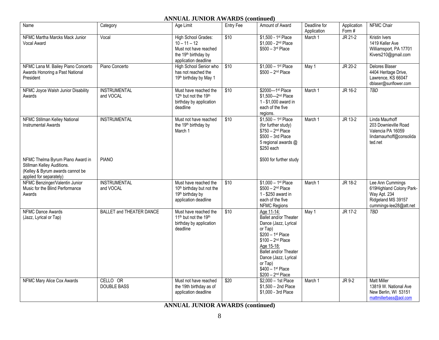# **ANNUAL JUNIOR AWARDS (continued)**

| Name                                                                                                                          | Category                         | Age Limit                                                                                                                  | Entry Fee | Amount of Award                                                                                                                                                                                                                                                                | Deadline for<br>Application | Application<br>Form# | NFMC Chair                                                                                                   |
|-------------------------------------------------------------------------------------------------------------------------------|----------------------------------|----------------------------------------------------------------------------------------------------------------------------|-----------|--------------------------------------------------------------------------------------------------------------------------------------------------------------------------------------------------------------------------------------------------------------------------------|-----------------------------|----------------------|--------------------------------------------------------------------------------------------------------------|
| NFMC Martha Marcks Mack Junior<br>Vocal Award                                                                                 | Vocal                            | High School Grades:<br>$10 - 11 - 12$<br>Must not have reached<br>the 19 <sup>th</sup> birthday by<br>application deadline | \$10      | \$1,500 - 1st Place<br>\$1,000 - 2 <sup>nd</sup> Place<br>$$500 - 3rd$ Place                                                                                                                                                                                                   | March 1                     | $JR 21-2$            | Kristin Ivers<br>1419 Keller Ave<br>Williamsport, PA 17701<br>Kivers210@gmail.com                            |
| NFMC Lana M. Bailey Piano Concerto<br>Awards Honoring a Past National<br>President                                            | Piano Concerto                   | High School Senior who<br>has not reached the<br>19th birthday by May 1                                                    | \$10      | $$1,000 - 1$ st Place<br>$$500 - 2nd Place$                                                                                                                                                                                                                                    | $\overline{May} 1$          | JR 20-2              | <b>Delores Blaser</b><br>4404 Heritage Drive,<br>Lawrence, KS 66047<br>dblaser@sunflower.com                 |
| NFMC Joyce Walsh Junior Disability<br>Awards                                                                                  | <b>INSTRUMENTAL</b><br>and VOCAL | Must have reached the<br>12 <sup>th</sup> but not the 19 <sup>th</sup><br>birthday by application<br>deadline              | \$10      | \$2000-1st Place<br>\$1,500-2nd Place<br>1 - \$1,000 award in<br>each of the five<br>regions.                                                                                                                                                                                  | March 1                     | JR 16-2              | <b>TBD</b>                                                                                                   |
| NFMC Stillman Kelley National<br><b>Instrumental Awards</b>                                                                   | <b>INSTRUMENTAL</b>              | Must not have reached<br>the 19th birthday by<br>March 1                                                                   | \$10      | $$1,500 - 1$ <sup>st</sup> Place<br>(for further study)<br>$$750 - 2nd Place$<br>$$500 - 3rd$ Place<br>5 regional awards @<br>$$250$ each                                                                                                                                      | March 1                     | JR 13-2              | Linda Maurhoff<br>203 Downieville Road<br>Valencia PA 16059<br>lindamaurhoff@consolida<br>ted.net            |
| NFMC Thelma Byrum Piano Award in<br>Stillman Kelley Auditions.<br>(Kelley & Byrum awards cannot be<br>applied for separately) | <b>PIANO</b>                     |                                                                                                                            |           | \$500 for further study                                                                                                                                                                                                                                                        |                             |                      |                                                                                                              |
| NFMC Benzinger/Valentin Junior<br>Music for the Blind Performance<br>Awards                                                   | <b>INSTRUMENTAL</b><br>and VOCAL | Must have reached the<br>10 <sup>th</sup> birthday but not the<br>19th birthday by<br>application deadline                 | \$10      | $$1,000-1$ <sup>st</sup> Place<br>$$500 - 2nd Place$<br>1 - \$250 award in<br>each of the five<br>NFMC Regions                                                                                                                                                                 | March 1                     | JR 18-2              | Lee Ann Cummings<br>619Highland Colony Park-<br>Way Apt. 234<br>Ridgeland MS 39157<br>cummings-lee28@att.net |
| <b>NFMC Dance Awards</b><br>(Jazz, Lyrical or Tap)                                                                            | <b>BALLET and THEATER DANCE</b>  | Must have reached the<br>11 <sup>th</sup> but not the 19 <sup>th</sup><br>birthday by application<br>deadline              | \$10      | Age 11-14:<br><b>Ballet and/or Theater</b><br>Dance (Jazz, Lyrical<br>or Tap)<br>$$200 - 1$ <sup>st</sup> Place<br>$$100 - 2nd Place$<br>Age 15-18:<br><b>Ballet and/or Theater</b><br>Dance (Jazz, Lyrical<br>or Tap)<br>$$400 - 1$ <sup>st</sup> Place<br>$$200 - 2nd Place$ | May 1                       | JR 17-2              | <b>TBD</b>                                                                                                   |
| NFMC Mary Alice Cox Awards                                                                                                    | CELLO OR<br><b>DOUBLE BASS</b>   | Must not have reached<br>the 19th birthday as of<br>application deadline                                                   | \$20      | \$2,000 - 1st Place<br>$$1,500 - 2nd$ Place<br>\$1,000 - 3rd Place                                                                                                                                                                                                             | March 1                     | $JR 9-2$             | <b>Matt Miller</b><br>13819 W. National Ave<br>New Berlin, WI 53151<br>mattmillerbass@aol.com                |

**ANNUAL JUNIOR AWARDS (continued)**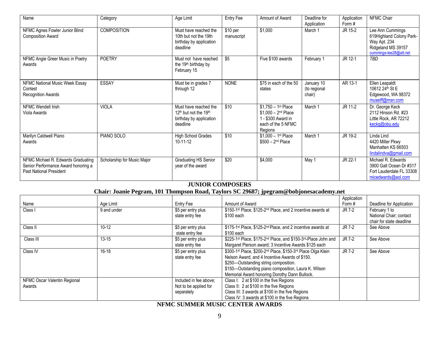| Name                                                                                                 | Category                    | Age Limit                                                                                                     | Entry Fee                        | Amount of Award                                                                                                 | Deadline for<br>Application          | Application<br>Form # | <b>NFMC Chair</b>                                                                                            |
|------------------------------------------------------------------------------------------------------|-----------------------------|---------------------------------------------------------------------------------------------------------------|----------------------------------|-----------------------------------------------------------------------------------------------------------------|--------------------------------------|-----------------------|--------------------------------------------------------------------------------------------------------------|
| NFMC Agnes Fowler Junior Blind<br><b>Composition Award</b>                                           | <b>COMPOSITION</b>          | Must have reached the<br>10th but not the 19th<br>birthday by application<br>deadline                         | $$10~\mathrm{per}$<br>manuscript | \$1,000                                                                                                         | March 1                              | JR 15-2               | Lee Ann Cummings<br>619Highland Colony Park-<br>Way Apt. 234<br>Ridgeland MS 39157<br>cummings-lee28@att.net |
| NFMC Angie Greer Music in Poetry<br>Awards                                                           | <b>POETRY</b>               | Must not have reached<br>the 19 <sup>th</sup> birthday by<br>February 15                                      | \$5                              | Five \$100 awards                                                                                               | February 1                           | JR 12-1               | TBD                                                                                                          |
| NFMC National Music Week Essay<br>Contest<br><b>Recognition Awards</b>                               | <b>ESSAY</b>                | Must be in grades 7<br>through 12                                                                             | <b>NONE</b>                      | \$75 in each of the 50<br>states                                                                                | January 10<br>(to regional<br>chair) | AR 13-1               | Ellen Leapaldt<br>10612 24 <sup>th</sup> St E<br>Edgewood, WA 98372<br>museiff@msn.com                       |
| NFMC Wendell Irish<br>Viola Awards                                                                   | <b>VIOLA</b>                | Must have reached the<br>12 <sup>th</sup> but not the 19 <sup>th</sup><br>birthday by application<br>deadline | \$10                             | $$1,750 - 1$ <sup>st</sup> Place<br>$$1,000 - 2nd Place$<br>1 - \$300 Award in<br>each of the 5 NFMC<br>Regions | March 1                              | JR 11-2               | Dr. George Keck<br>2112 Hinson Rd. #23<br>Little Rock, AR 72212<br>keckg@obu.edu                             |
| Marilyn Caldwell Piano<br>Awards                                                                     | PIANO SOLO                  | <b>High School Grades</b><br>$10 - 11 - 12$                                                                   | \$10                             | $$1,000 - 1$ <sup>st</sup> Place<br>$$500 - 2nd$ Place                                                          | March 1                              | JR 19-2               | Linda Lind<br>4420 Miller Pkwy<br>Manhatten KS 66503<br>lindalindva@gmail.com                                |
| NFMC Michael R. Edwards Graduating<br>Senior Performance Award honoring a<br>Past National President | Scholarship for Music Major | Graduating HS Senior<br>year of the award                                                                     | \$20                             | \$4,000                                                                                                         | May 1                                | JR 22-1               | Michael R. Edwards<br>3900 Galt Ocean Dr #317<br>Fort Lauderdale FL 33308<br>micedwards@aol.com              |

# **JUNIOR COMPOSERS**

| Chair: Joanie Pegram, 101 Thompson Road, Taylors SC 29687; jpegram@bobjonesacademy.net |             |                                                               |                                                                                                                                                                                                                                                                  |                      |                                                                      |  |  |  |  |
|----------------------------------------------------------------------------------------|-------------|---------------------------------------------------------------|------------------------------------------------------------------------------------------------------------------------------------------------------------------------------------------------------------------------------------------------------------------|----------------------|----------------------------------------------------------------------|--|--|--|--|
| Name                                                                                   | Age Limit   | Entry Fee                                                     | Amount of Award                                                                                                                                                                                                                                                  | Application<br>Form# | Deadline for Application                                             |  |  |  |  |
| Class I                                                                                | 9 and under | \$5 per entry plus<br>state entry fee                         | \$150-1 <sup>st</sup> Place, \$125-2 <sup>nd</sup> Place, and 2 incentive awards at<br>\$100 each                                                                                                                                                                | JR 7-2               | February 1 to<br>National Chair; contact<br>chair for state deadline |  |  |  |  |
| Class II                                                                               | $10 - 12$   | \$5 per entry plus<br>state entry fee                         | \$175-1 <sup>st</sup> Place, \$125-2 <sup>nd</sup> Place, and 2 incentive awards at<br>\$100 each                                                                                                                                                                | JR 7-2               | See Above                                                            |  |  |  |  |
| Class III                                                                              | $13 - 15$   | \$5 per entry plus<br>state entry fee                         | \$225-1 <sup>st</sup> Place, \$175-2 <sup>nd</sup> Place, and \$150-3 <sup>rd</sup> -Place John and<br>Margaret Pierson award; 3 Incentive Awards \$125 each                                                                                                     | JR 7-2               | See Above                                                            |  |  |  |  |
| Class IV                                                                               | $16-18$     | \$5 per entry plus<br>state entry fee                         | \$300-1st Place, \$200-2nd Place, \$150-3rd Place Olga Klein<br>Nelson Award, and 4 Incentive Awards of \$150.<br>\$250-Outstanding string composition.<br>\$150-Outstanding piano composition, Laura K. Wilson<br>Memorial Award honoring Dorothy Dann Bullock. | JR 7-2               | See Above                                                            |  |  |  |  |
| NFMC Oscar Valentin Regional<br>Awards                                                 |             | Included in fee above;<br>Not to be applied for<br>separately | Class I: 2 at \$100 in the five Regions<br>Class II: 2 at \$100 in the five Regions<br>Class III: 3 awards at \$100 in the five Regions<br>Class IV: 3 awards at \$100 in the five Regions                                                                       |                      |                                                                      |  |  |  |  |

**NFMC SUMMER MUSIC CENTER AWARDS**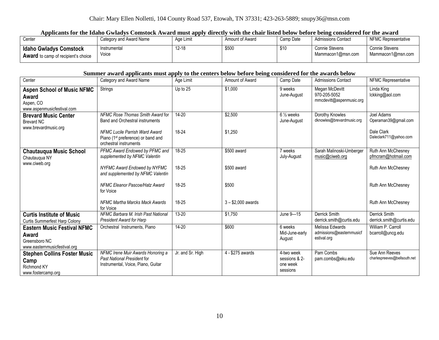# **Applicants for the Idaho Gwladys Comstock Award must apply directly with the chair listed below before being considered for the award**

| Center                                                                      | Category and Award Name | ---<br>Age Limit | Amount of Award | Camp Date | <b>Admissions Contact</b>           | NFMC Representative                 |
|-----------------------------------------------------------------------------|-------------------------|------------------|-----------------|-----------|-------------------------------------|-------------------------------------|
| <b>Idaho Gwladys Comstock</b><br><b>Award</b> to camp of recipient's choice | Instrumental<br>Voice   | $12 - 18$        | \$500           | \$10      | Connie Stevens<br>Mammacon1@msn.com | Connie Stevens<br>Mammacon1@msn.com |

### **Summer award applicants must apply to the centers below before being considered for the awards below**

| Center                                                                                       | Category and Award Name                                                                                           | Age Limit        | Amount of Award     | Camp Date                                           | <b>Admissions Contact</b>                                  | NFMC Representative                            |
|----------------------------------------------------------------------------------------------|-------------------------------------------------------------------------------------------------------------------|------------------|---------------------|-----------------------------------------------------|------------------------------------------------------------|------------------------------------------------|
| <b>Aspen School of Music NFMC</b><br>Award<br>Aspen, CO<br>www.aspenmusicfestival.com        | Strings                                                                                                           | Up to 25         | \$1,000             | 9 weeks<br>June-August                              | Megan McDevitt<br>970-205-5052<br>mmcdevitt@aspenmusic.org | Linda King<br>lckking@aol.com                  |
| <b>Brevard Music Center</b><br>Brevard NC                                                    | NFMC Rose Thomas Smith Award for<br><b>Band and Orchestral instruments</b>                                        | $14 - 20$        | \$2,500             | $6\frac{1}{2}$ weeks<br>June-August                 | Dorothy Knowles<br>dknowles@brevardmusic.org               | Joel Adams<br>Operaman39@gmail.com             |
| www.brevardmusic.org                                                                         | <b>NFMC Lucile Parrish Ward Award</b><br>Piano (1 <sup>st</sup> preference) or band and<br>orchestral instruments | 18-24            | \$1,250             |                                                     |                                                            | Dale Clark<br>Daleclark711@yahoo.com           |
| <b>Chautauqua Music School</b><br>Chautaugua NY                                              | PFMC Award Endowed by PFMC and<br>supplemented by NFMC Valentin                                                   | 18-25            | \$500 award         | 7 weeks<br>July-August                              | Sarah Malinoski-Umberger<br>music@ciweb.org                | Ruth Ann McChesney<br>pfmcram@hotmail.com      |
| www.ciweb.org                                                                                | NYFMC Award Endowed by NYFMC<br>and supplemented by NFMC Valentin                                                 | 18-25            | \$500 award         |                                                     |                                                            | Ruth Ann McChesney                             |
|                                                                                              | NFMC Eleanor Pascoe/Hatz Award<br>for Voice                                                                       | 18-25            | \$500               |                                                     |                                                            | Ruth Ann McChesney                             |
|                                                                                              | NFMC Martha Marcks Mack Awards<br>for Voice                                                                       | 18-25            | $3 - $2,000$ awards |                                                     |                                                            | Ruth Ann McChesney                             |
| <b>Curtis Institute of Music</b><br><b>Curtis Summerfest Harp Colony</b>                     | NFMC Barbara M. Irish Past National<br>President Award for Harp                                                   | 13-20            | \$1,750             | June 9-15                                           | Derrick Smith<br>derrick.smith@curtis.edu                  | Derrick Smith<br>derrick.smith@curtis.edu      |
| <b>Eastern Music Festival NFMC</b><br>Award<br>Greensboro NC<br>www.easternmusicfestival.org | Orchestral Instruments, Piano                                                                                     | $14 - 20$        | \$600               | 6 weeks<br>Mid-June-early<br>August                 | Melissa Edwards<br>admissions@easternmusicf<br>estival.org | William P. Carroll<br>bcarroll@uncg.edu        |
| <b>Stephen Collins Foster Music</b><br>Camp<br><b>Richmond KY</b><br>www.fostercamp.org      | NFMC Irene Muir Awards Honoring a<br>Past National President for<br>Instrumental, Voice, Piano, Guitar            | Jr. and Sr. High | 4 - \$275 awards    | 4-two week<br>sessions & 2-<br>one week<br>sessions | Pam Combs<br>pam.combs@eku.edu                             | Sue Ann Reeves<br>charlespreeves@bellsouth.net |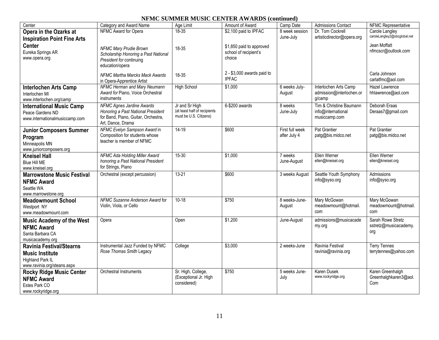# **NFMC SUMMER MUSIC CENTER AWARDS (continued)**

| Center                                                                                                       | Category and Award Name                                                                                                            | Age Limit                                                                | Amount of Award                                             | Camp Date                       | Admissions Contact                                             | NFMC Representative                               |
|--------------------------------------------------------------------------------------------------------------|------------------------------------------------------------------------------------------------------------------------------------|--------------------------------------------------------------------------|-------------------------------------------------------------|---------------------------------|----------------------------------------------------------------|---------------------------------------------------|
| Opera in the Ozarks at                                                                                       | NFMC Award for Opera                                                                                                               | $18 - 35$                                                                | \$2,100 paid to IPFAC                                       | 8 week session                  | Dr. Tom Cockrell                                               | Carole Langley                                    |
| <b>Inspiration Point Fine Arts</b>                                                                           |                                                                                                                                    |                                                                          |                                                             | June-July                       | artisticdirector@opera.org                                     | caroleLangley2@sbcglobal.net                      |
| <b>Center</b><br>Eureka Springs AR<br>www.opera.org                                                          | NFMC Mary Prudie Brown<br>Scholarship Honoring a Past National<br>President for continuing<br>education/opera                      | 18-35                                                                    | \$1,850 paid to approved<br>school of recipient's<br>choice |                                 |                                                                | Jean Moffatt<br>nfmcscr@outlook.com               |
|                                                                                                              | NFMC Martha Marcks Mack Awards<br>in Opera-Apprentice Artist                                                                       | $18 - 35$                                                                | $2 - $3,000$ awards paid to<br><b>IPFAC</b>                 |                                 |                                                                | Carla Johnson<br>carlatfmc@aol.com                |
| <b>Interlochen Arts Camp</b><br>Interlochen MI<br>www.interlochen.org/camp                                   | NFMC Herman and Mary Neumann<br>Award for Piano, Voice Orchestral<br>instruments                                                   | <b>High School</b>                                                       | \$1,000                                                     | 6 weeks July-<br>August         | Interlochen Arts Camp<br>admission@interlochen.or<br>g/camp    | <b>Hazel Lawrence</b><br>hhlawrence@aol.com       |
| <b>International Music Camp</b><br>Peace Gardens ND<br>www.internationalmusiccamp.com                        | <b>NFMC Agnes Jardine Awards</b><br>Honoring a Past National President<br>for Band, Piano, Guitar, Orchestra,<br>Art, Dance, Drama | Jr and Sr High<br>(at least half of recipients<br>must be U.S. Citizens) | 6-\$200 awards                                              | 8 weeks<br>June-July            | Tim & Christine Baumann<br>info@international<br>musiccamp.com | Deborah Eraas<br>Deraas7@gmail.com                |
| <b>Junior Composers Summer</b><br>Program<br>Minneapolis MN<br>www.juniorcomposers.org                       | NFMC Evelyn Sampson Award in<br>Composition for students whose<br>teacher is member of NFMC                                        | $14-19$                                                                  | \$600                                                       | First full week<br>after July 4 | <b>Pat Grantier</b><br>patg@bis.midco.net                      | <b>Pat Grantier</b><br>patg@bis.midco.net         |
| <b>Kneisel Hall</b><br><b>Blue Hill ME</b><br>www.kneisel.org                                                | NFMC Ada Holding Miller Award<br>honoring a Past National President<br>for Strings, Piano                                          | $15 - 30$                                                                | \$1,000                                                     | 7 weeks<br>June-August          | Ellen Werner<br>ellen@kneisel.org                              | Ellen Werner<br>ellen@kneisel.org                 |
| <b>Marrowstone Music Festival</b><br><b>NFMC Award</b><br>Seattle WA<br>www.marrowstone.org                  | Orchestral (except percussion)                                                                                                     | $13 - 21$                                                                | \$600                                                       | 3 weeks August                  | Seattle Youth Symphony<br>info@syso.org                        | Admissions<br>info@syso.org                       |
| <b>Meadowmount School</b><br>Westport NY<br>www.meadowmount.com                                              | NFMC Suzanne Anderson Award for<br>Violin, Viola, or Cello                                                                         | $10-18$                                                                  | \$750                                                       | 8 weeks-June-<br>August         | Mary McGowan<br>meadowmount@hotmail.<br>com                    | Mary McGowan<br>meadowmount@hotmail.<br>com       |
| <b>Music Academy of the West</b><br><b>NFMC Award</b><br>Santa Barbara CA<br>musicacademy.org                | Opera                                                                                                                              | Open                                                                     | \$1,200                                                     | June-August                     | admissions@musicacade<br>my.org                                | Sarah Rowe Stretz<br>sstretz@musicacademy.<br>org |
| <b>Ravinia Festival/Stearns</b><br><b>Music Institute</b><br>Highland Park IL<br>www.ravinia.org/steans.aspx | Instrumental Jazz Funded by NFMC<br>Rose Thomas Smith Legacy                                                                       | College                                                                  | \$3,000                                                     | 2 weeks-June                    | Ravinia Festival<br>ravinia@ravinia.org                        | <b>Terry Tennes</b><br>terrytennes@yahoo.com      |
| <b>Rocky Ridge Music Center</b><br><b>NFMC Award</b><br>Estes Park CO<br>www.rockyridge.org                  | Orchestral Instruments                                                                                                             | Sr. High, College,<br>(Exceptional Jr. High<br>considered)               | \$750                                                       | 5 weeks June-<br>July           | <b>Karen Dusek</b><br>www.rockyridge.org                       | Karen Greenhalgh<br>Greenhalghkaren3@aol.<br>Com  |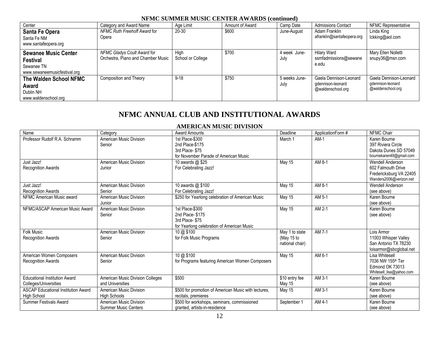### **NFMC SUMMER MUSIC CENTER AWARDS (continued)**

| Center                                                                                       | Category and Award Name                                           | Age Limit                 | Amount of Award | Camp Date             | <b>Admissions Contact</b>                                        | NFMC Representative                                              |
|----------------------------------------------------------------------------------------------|-------------------------------------------------------------------|---------------------------|-----------------|-----------------------|------------------------------------------------------------------|------------------------------------------------------------------|
| Santa Fe Opera<br>Santa Fe NM<br>www.santafeopera.org                                        | NFMC Ruth Freehoff Award for<br>Opera                             | 20-30                     | \$600           | June-August           | Adam Franklin<br>afranklin@santafeopera.org                      | Linda King<br>lckking@aol.com                                    |
| <b>Sewanee Music Center</b><br><b>Festival</b><br>Sewanee TN<br>www.sewaneemusicfestival.org | NFMC Gladys Coult Award for<br>Orchestra, Piano and Chamber Music | Hiah<br>School or College | \$700           | 4 week June-<br>July  | <b>Hilary Ward</b><br>ssmfadmissions@sewane<br>e.edu             | Mary Ellen Nolletti<br>snupy36@msn.com                           |
| The Walden School NFMC<br>Award<br>Dublin NH<br>www.waldenschool.org                         | Composition and Theory                                            | $9 - 18$                  | \$750           | 5 weeks June-<br>July | Gaela Dennison-Leonard<br>gdennison-leonard<br>@waldenschool.org | Gaela Dennison-Leonard<br>gdennison-leonard<br>@waldenschool.org |

# **NFMC ANNUAL CLUB AND INSTITUTIONAL AWARDS**

# **AMERICAN MUSIC DIVISION**

| Name                                       | Category                         | <b>Award Amounts</b>                                 | Deadline                      | ApplicationForm # | NFMC Chair                                         |
|--------------------------------------------|----------------------------------|------------------------------------------------------|-------------------------------|-------------------|----------------------------------------------------|
| Professor Rudolf R.A. Schramm              | American Music Division          | 1st Place-\$300                                      | March 1                       | $AM-1$            | Karen Bourne                                       |
|                                            | Senior                           | 2nd Place-\$175                                      |                               |                   | 397 Riviera Circle                                 |
|                                            |                                  | 3rd Place-\$75                                       |                               |                   | Dakota Dunes SD 57049                              |
|                                            |                                  | for November Parade of American Music                |                               |                   | bournekaren49@gmail.com                            |
| Just Jazz!                                 | American Music Division          | 10 awards @ \$25                                     | May 15                        | AM 8-1            | Wendell Anderson                                   |
| <b>Recognition Awards</b>                  | Junior                           | For Celebrating Jazz!                                |                               |                   | 602 Falmouth Drive                                 |
|                                            |                                  |                                                      |                               |                   | Fredericksburg VA 22405<br>Wanders2006@verizon.net |
| Just Jazz!                                 | American Music Division          | 10 awards @ \$100                                    | May 15                        | AM 8-1            | Wendell Anderson                                   |
| <b>Recognition Awards</b>                  | Senior                           | For Celebrating Jazz!                                |                               |                   | (see above)                                        |
| NFMC American Music award                  | American Music Division          | \$250 for Yearlong celebration of American Music     | May 15                        | AM 5-1            | Karen Bourne                                       |
|                                            | Junior                           |                                                      |                               |                   | (see above)                                        |
| NFMC/ASCAP American Music Award            | American Music Division          | 1st Place-\$300                                      | May 15                        | AM 2-1            | Karen Bourne                                       |
|                                            | Senior                           | 2nd Place-\$175                                      |                               |                   | (see above)                                        |
|                                            |                                  | 3rd Place-\$75                                       |                               |                   |                                                    |
|                                            |                                  | for Yearlong celebration of American Music           |                               |                   |                                                    |
| <b>Folk Music</b>                          | American Music Division          | 10 @ \$100                                           | May 1 to state                | AM 7-1            | Lois Armor                                         |
| <b>Recognition Awards</b>                  | Senior                           | for Folk Music Programs                              | (May 15 to<br>national chair) |                   | 11003 Whisper Valley<br>San Antonio TX 78230       |
|                                            |                                  |                                                      |                               |                   | loisarmor@sbcglobal.net                            |
| American Women Composers                   | American Music Division          | 10 @ \$100                                           | May 15                        | AM 6-1            | Lisa Whitesell                                     |
| <b>Recognition Awards</b>                  | Senior                           | for Programs featuring American Women Composers      |                               |                   | 7036 NW 155 <sup>th</sup> Ter                      |
|                                            |                                  |                                                      |                               |                   | Edmond OK 73013                                    |
|                                            |                                  |                                                      |                               |                   | Whitesell_lisa@yahoo.com                           |
| <b>Educational Institution Award</b>       | American Music Division Colleges | \$500                                                | \$10 entry fee                | AM 3-1            | Karen Bourne                                       |
| Colleges/Universities                      | and Universities                 |                                                      | May 15                        |                   | (see above)                                        |
| <b>ASCAP Educational Institution Award</b> | American Music Division          | \$500 for promotion of American Music with lectures, | <b>May 15</b>                 | AM 3-1            | Karen Bourne                                       |
| High School                                | <b>High Schools</b>              | recitals, premieres                                  |                               |                   | (see above)                                        |
| <b>Summer Festivals Award</b>              | American Music Division          | \$500 for workshops, seminars, commissioned          | September 1                   | AM 4-1            | Karen Bourne                                       |
|                                            | <b>Summer Music Centers</b>      | granted, artists-in-residence                        |                               |                   | (see above)                                        |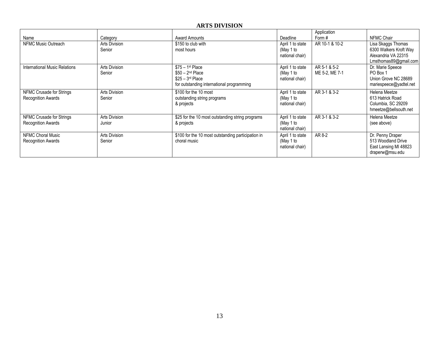# **ARTS DIVISION**

|                                                       |                         |                                                                                                          |                                                  | Application                    |                                                                                              |
|-------------------------------------------------------|-------------------------|----------------------------------------------------------------------------------------------------------|--------------------------------------------------|--------------------------------|----------------------------------------------------------------------------------------------|
| Name                                                  | Category                | <b>Award Amounts</b>                                                                                     | Deadline                                         | Form #                         | NFMC Chair                                                                                   |
| NFMC Music Outreach                                   | Arts Division<br>Senior | \$150 to club with<br>most hours                                                                         | April 1 to state<br>(May 1 to<br>national chair) | AR 10-1 & 10-2                 | Lisa Skaggs Thomas<br>6300 Walkers Kroft Way<br>Alexandria VA 22315<br>Lmsthomas89@gmail.com |
| <b>International Music Relations</b>                  | Arts Division<br>Senior | $$75 - 1st$ Place<br>$$50 - 2nd$ Place<br>$$25 - 3rd$ Place<br>for outstanding international programming | April 1 to state<br>(May 1 to<br>national chair) | AR 5-1 & 5-2<br>ME 5-2, ME 7-1 | Dr. Marie Speece<br>PO Box 1<br>Union Grove NC 28689<br>mariespeece@yadtel.net               |
| NFMC Crusade for Strings<br><b>Recognition Awards</b> | Arts Division<br>Senior | \$100 for the 10 most<br>outstanding string programs<br>& projects                                       | April 1 to state<br>(May 1 to<br>national chair) | AR 3-1 & 3-2                   | Helena Meetze<br>613 Hatrick Road<br>Columbia, SC 29209<br>hmeetze@bellsouth.net             |
| NFMC Crusade for Strings<br><b>Recognition Awards</b> | Arts Division<br>Junior | \$25 for the 10 most outstanding string programs<br>& projects                                           | April 1 to state<br>(May 1 to<br>national chair) | AR 3-1 & 3-2                   | Helena Meetze<br>(see above)                                                                 |
| NFMC Choral Music<br><b>Recognition Awards</b>        | Arts Division<br>Senior | \$100 for the 10 most outstanding participation in<br>choral music                                       | April 1 to state<br>(May 1 to<br>national chair) | AR 8-2                         | Dr. Penny Draper<br>513 Woodland Drive<br>East Lansing MI 48823<br>draperw@msu.edu           |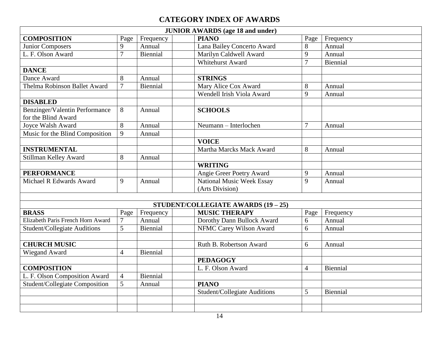# **CATEGORY INDEX OF AWARDS**

| <b>JUNIOR AWARDS</b> (age 18 and under)               |                |           |  |                                     |                |           |  |  |
|-------------------------------------------------------|----------------|-----------|--|-------------------------------------|----------------|-----------|--|--|
| <b>COMPOSITION</b>                                    | Page           | Frequency |  | <b>PIANO</b>                        | Page           | Frequency |  |  |
| Junior Composers                                      | 9              | Annual    |  | Lana Bailey Concerto Award          | 8              | Annual    |  |  |
| L. F. Olson Award                                     | 7              | Biennial  |  | Marilyn Caldwell Award              | 9              | Annual    |  |  |
|                                                       |                |           |  | Whitehurst Award                    | $\overline{7}$ | Biennial  |  |  |
| <b>DANCE</b>                                          |                |           |  |                                     |                |           |  |  |
| Dance Award                                           | 8              | Annual    |  | <b>STRINGS</b>                      |                |           |  |  |
| Thelma Robinson Ballet Award                          | 7              | Biennial  |  | Mary Alice Cox Award                | 8              | Annual    |  |  |
|                                                       |                |           |  | Wendell Irish Viola Award           | 9              | Annual    |  |  |
| <b>DISABLED</b>                                       |                |           |  |                                     |                |           |  |  |
| Benzinger/Valentin Performance<br>for the Blind Award | 8              | Annual    |  | <b>SCHOOLS</b>                      |                |           |  |  |
| Joyce Walsh Award                                     | 8              | Annual    |  | Neumann - Interlochen               | $\overline{7}$ | Annual    |  |  |
| Music for the Blind Composition                       | 9              | Annual    |  |                                     |                |           |  |  |
|                                                       |                |           |  | <b>VOICE</b>                        |                |           |  |  |
| <b>INSTRUMENTAL</b>                                   |                |           |  | Martha Marcks Mack Award            | 8              | Annual    |  |  |
| Stillman Kelley Award                                 | 8              | Annual    |  |                                     |                |           |  |  |
|                                                       |                |           |  | <b>WRITING</b>                      |                |           |  |  |
| <b>PERFORMANCE</b>                                    |                |           |  | Angie Greer Poetry Award            | 9              | Annual    |  |  |
| Michael R Edwards Award                               | 9              | Annual    |  | National Music Week Essay           | 9              | Annual    |  |  |
|                                                       |                |           |  | (Arts Division)                     |                |           |  |  |
|                                                       |                |           |  |                                     |                |           |  |  |
|                                                       |                |           |  | STUDENT/COLLEGIATE AWARDS (19 - 25) |                |           |  |  |
| <b>BRASS</b>                                          | Page           | Frequency |  | <b>MUSIC THERAPY</b>                | Page           | Frequency |  |  |
| Elizabeth Paris French Horn Award                     | $\overline{7}$ | Annual    |  | Dorothy Dann Bullock Award          | 6              | Annual    |  |  |
| Student/Collegiate Auditions                          | 5 <sup>5</sup> | Biennial  |  | NFMC Carey Wilson Award             | 6              | Annual    |  |  |
|                                                       |                |           |  |                                     |                |           |  |  |
| <b>CHURCH MUSIC</b>                                   |                |           |  | Ruth B. Robertson Award             | 6              | Annual    |  |  |
| Wiegand Award                                         | $\overline{4}$ | Biennial  |  |                                     |                |           |  |  |
|                                                       |                |           |  | <b>PEDAGOGY</b>                     |                |           |  |  |
| <b>COMPOSITION</b>                                    |                |           |  | L. F. Olson Award                   | $\overline{4}$ | Biennial  |  |  |
| L. F. Olson Composition Award                         | $\overline{4}$ | Biennial  |  |                                     |                |           |  |  |
| Student/Collegiate Composition                        | 5              | Annual    |  | <b>PIANO</b>                        |                |           |  |  |
|                                                       |                |           |  | <b>Student/Collegiate Auditions</b> | 5              | Biennial  |  |  |
|                                                       |                |           |  |                                     |                |           |  |  |
|                                                       |                |           |  |                                     |                |           |  |  |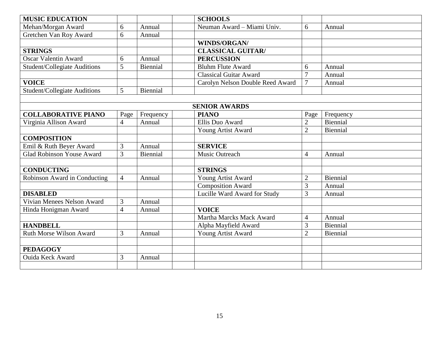| <b>MUSIC EDUCATION</b>              |                |           |  | <b>SCHOOLS</b>                   |                |           |  |  |
|-------------------------------------|----------------|-----------|--|----------------------------------|----------------|-----------|--|--|
| Mehan/Morgan Award                  | 6              | Annual    |  | Neuman Award - Miami Univ.       | 6              | Annual    |  |  |
| Gretchen Van Roy Award              | 6              | Annual    |  |                                  |                |           |  |  |
|                                     |                |           |  | <b>WINDS/ORGAN/</b>              |                |           |  |  |
| <b>STRINGS</b>                      |                |           |  | <b>CLASSICAL GUITAR/</b>         |                |           |  |  |
| <b>Oscar Valentin Award</b>         | 6              | Annual    |  | <b>PERCUSSION</b>                |                |           |  |  |
| Student/Collegiate Auditions        | 5              | Biennial  |  | <b>Bluhm Flute Award</b>         | 6              | Annual    |  |  |
|                                     |                |           |  | <b>Classical Guitar Award</b>    | $\overline{7}$ | Annual    |  |  |
| <b>VOICE</b>                        |                |           |  | Carolyn Nelson Double Reed Award | $\overline{7}$ | Annual    |  |  |
| <b>Student/Collegiate Auditions</b> | 5              | Biennial  |  |                                  |                |           |  |  |
|                                     |                |           |  |                                  |                |           |  |  |
| <b>SENIOR AWARDS</b>                |                |           |  |                                  |                |           |  |  |
| <b>COLLABORATIVE PIANO</b>          | Page           | Frequency |  | <b>PIANO</b>                     | Page           | Frequency |  |  |
| Virginia Allison Award              | $\overline{4}$ | Annual    |  | Ellis Duo Award                  | $\overline{2}$ | Biennial  |  |  |
|                                     |                |           |  | Young Artist Award               | $\overline{2}$ | Biennial  |  |  |
| <b>COMPOSITION</b>                  |                |           |  |                                  |                |           |  |  |
| Emil & Ruth Beyer Award             | 3              | Annual    |  | <b>SERVICE</b>                   |                |           |  |  |
| <b>Glad Robinson Youse Award</b>    | 3              | Biennial  |  | Music Outreach                   | 4              | Annual    |  |  |
|                                     |                |           |  |                                  |                |           |  |  |
| <b>CONDUCTING</b>                   |                |           |  | <b>STRINGS</b>                   |                |           |  |  |
| Robinson Award in Conducting        | $\overline{4}$ | Annual    |  | Young Artist Award               | $\overline{2}$ | Biennial  |  |  |
|                                     |                |           |  | <b>Composition Award</b>         | 3              | Annual    |  |  |
| <b>DISABLED</b>                     |                |           |  | Lucille Ward Award for Study     | 3              | Annual    |  |  |
| Vivian Menees Nelson Award          | 3              | Annual    |  |                                  |                |           |  |  |
| Hinda Honigman Award                | $\overline{4}$ | Annual    |  | <b>VOICE</b>                     |                |           |  |  |
|                                     |                |           |  | Martha Marcks Mack Award         | 4              | Annual    |  |  |
| <b>HANDBELL</b>                     |                |           |  | Alpha Mayfield Award             | 3              | Biennial  |  |  |
| <b>Ruth Morse Wilson Award</b>      | 3              | Annual    |  | Young Artist Award               | $\overline{2}$ | Biennial  |  |  |
|                                     |                |           |  |                                  |                |           |  |  |
| <b>PEDAGOGY</b>                     |                |           |  |                                  |                |           |  |  |
| <b>Ouida Keck Award</b>             | 3              | Annual    |  |                                  |                |           |  |  |
|                                     |                |           |  |                                  |                |           |  |  |